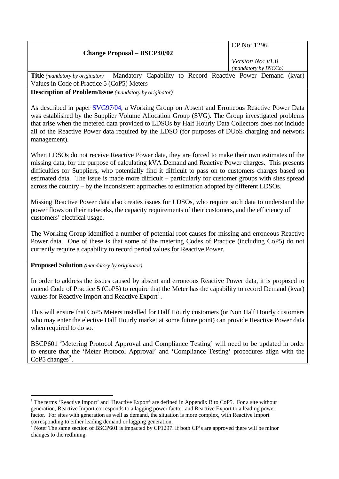|                                                 | $\vert$ CP No: 1296                                         |  |
|-------------------------------------------------|-------------------------------------------------------------|--|
| <b>Change Proposal – BSCP40/02</b>              |                                                             |  |
|                                                 | <i>Version No: v1.0</i><br>(mandatory by BSCCo)             |  |
| <b>Title</b> ( <i>mandatory by originator</i> ) | Mandatory Capability to Record Reactive Power Demand (kvar) |  |

Values in Code of Practice 5 (CoP5) Meters

**Description of Problem/Issue** *(mandatory by originator)* 

As described in paper **SVG97/04**, a Working Group on Absent and Erroneous Reactive Power Data was established by the Supplier Volume Allocation Group (SVG). The Group investigated problems that arise when the metered data provided to LDSOs by Half Hourly Data Collectors does not include all of the Reactive Power data required by the LDSO (for purposes of DUoS charging and network management).

When LDSOs do not receive Reactive Power data, they are forced to make their own estimates of the missing data, for the purpose of calculating kVA Demand and Reactive Power charges. This presents difficulties for Suppliers, who potentially find it difficult to pass on to customers charges based on estimated data. The issue is made more difficult – particularly for customer groups with sites spread across the country – by the inconsistent approaches to estimation adopted by different LDSOs.

Missing Reactive Power data also creates issues for LDSOs, who require such data to understand the power flows on their networks, the capacity requirements of their customers, and the efficiency of customers' electrical usage.

The Working Group identified a number of potential root causes for missing and erroneous Reactive Power data. One of these is that some of the metering Codes of Practice (including CoP5) do not currently require a capability to record period values for Reactive Power.

**Proposed Solution** *(mandatory by originator)* 

 $\overline{a}$ 

In order to address the issues caused by absent and erroneous Reactive Power data, it is proposed to amend Code of Practice 5 (CoP5) to require that the Meter has the capability to record Demand (kvar) values for Reactive Import and Reactive  $Export<sup>1</sup>$  $Export<sup>1</sup>$  $Export<sup>1</sup>$ .

This will ensure that CoP5 Meters installed for Half Hourly customers (or Non Half Hourly customers who may enter the elective Half Hourly market at some future point) can provide Reactive Power data when required to do so.

BSCP601 'Metering Protocol Approval and Compliance Testing' will need to be updated in order to ensure that the 'Meter Protocol Approval' and 'Compliance Testing' procedures align with the CoP5 changes<sup>[2](#page-0-1)</sup>.

<span id="page-0-0"></span><sup>&</sup>lt;sup>1</sup> The terms 'Reactive Import' and 'Reactive Export' are defined in Appendix B to CoP5. For a site without generation, Reactive Import corresponds to a lagging power factor, and Reactive Export to a leading power factor. For sites with generation as well as demand, the situation is more complex, with Reactive Import corresponding to either leading demand or lagging generation.

<span id="page-0-1"></span><sup>&</sup>lt;sup>2</sup> Note: The same section of BSCP601 is impacted by CP1297. If both CP's are approved there will be minor changes to the redlining.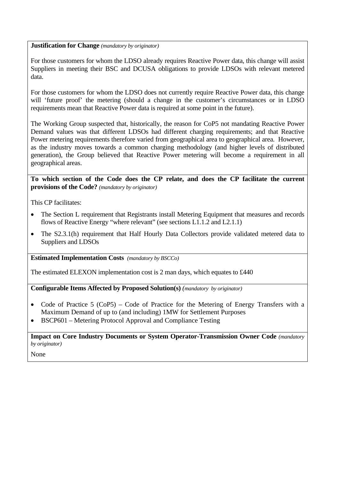**Justification for Change** *(mandatory by originator)* 

For those customers for whom the LDSO already requires Reactive Power data, this change will assist Suppliers in meeting their BSC and DCUSA obligations to provide LDSOs with relevant metered data.

For those customers for whom the LDSO does not currently require Reactive Power data, this change will 'future proof' the metering (should a change in the customer's circumstances or in LDSO requirements mean that Reactive Power data is required at some point in the future).

The Working Group suspected that, historically, the reason for CoP5 not mandating Reactive Power Demand values was that different LDSOs had different charging requirements; and that Reactive Power metering requirements therefore varied from geographical area to geographical area. However, as the industry moves towards a common charging methodology (and higher levels of distributed generation), the Group believed that Reactive Power metering will become a requirement in all geographical areas.

**To which section of the Code does the CP relate, and does the CP facilitate the current provisions of the Code?** *(mandatory by originator)* 

This CP facilitates:

- The Section L requirement that Registrants install Metering Equipment that measures and records flows of Reactive Energy "where relevant" (see sections L1.1.2 and L2.1.1)
- The S2.3.1(h) requirement that Half Hourly Data Collectors provide validated metered data to Suppliers and LDSOs

**Estimated Implementation Costs** *(mandatory by BSCCo)* 

The estimated ELEXON implementation cost is 2 man days, which equates to £440

**Configurable Items Affected by Proposed Solution(s)** *(mandatory by originator)* 

- Code of Practice 5 (CoP5) Code of Practice for the Metering of Energy Transfers with a Maximum Demand of up to (and including) 1MW for Settlement Purposes
- BSCP601 Metering Protocol Approval and Compliance Testing

**Impact on Core Industry Documents or System Operator-Transmission Owner Code** *(mandatory by originator)* 

None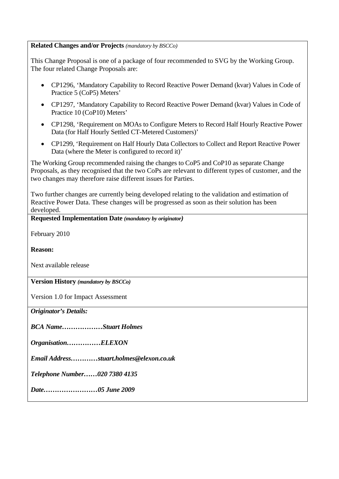## **Related Changes and/or Projects** *(mandatory by BSCCo)*

This Change Proposal is one of a package of four recommended to SVG by the Working Group. The four related Change Proposals are:

- CP1296, 'Mandatory Capability to Record Reactive Power Demand (kvar) Values in Code of Practice 5 (CoP5) Meters'
- CP1297, 'Mandatory Capability to Record Reactive Power Demand (kvar) Values in Code of Practice 10 (CoP10) Meters'
- CP1298, 'Requirement on MOAs to Configure Meters to Record Half Hourly Reactive Power Data (for Half Hourly Settled CT-Metered Customers)'
- CP1299, 'Requirement on Half Hourly Data Collectors to Collect and Report Reactive Power Data (where the Meter is configured to record it)'

The Working Group recommended raising the changes to CoP5 and CoP10 as separate Change Proposals, as they recognised that the two CoPs are relevant to different types of customer, and the two changes may therefore raise different issues for Parties.

Two further changes are currently being developed relating to the validation and estimation of Reactive Power Data. These changes will be progressed as soon as their solution has been developed.

**Requested Implementation Date** *(mandatory by originator)* 

February 2010

**Reason:** 

Next available release

**Version History** *(mandatory by BSCCo)*

Version 1.0 for Impact Assessment

*Originator's Details:* 

*BCA Name………………Stuart Holmes* 

*Organisation……………ELEXON* 

*Email Address…………stuart.holmes@elexon.co.uk* 

*Telephone Number……020 7380 4135* 

*Date……………………05 June 2009*